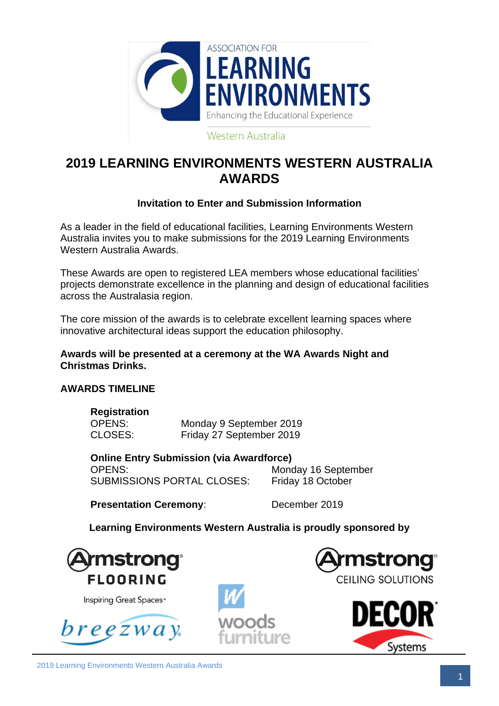

## **2019 LEARNING ENVIRONMENTS WESTERN AUSTRALIA AWARDS**

## **Invitation to Enter and Submission Information**

As a leader in the field of educational facilities, Learning Environments Western Australia invites you to make submissions for the 2019 Learning Environments Western Australia Awards.

These Awards are open to registered LEA members whose educational facilities' projects demonstrate excellence in the planning and design of educational facilities across the Australasia region.

The core mission of the awards is to celebrate excellent learning spaces where innovative architectural ideas support the education philosophy.

**Awards will be presented at a ceremony at the WA Awards Night and Christmas Drinks.**

#### **AWARDS TIMELINE**

**Registration**

| Registration |                          |
|--------------|--------------------------|
| OPENS:       | Monday 9 September 2019  |
| CLOSES:      | Friday 27 September 2019 |

**Online Entry Submission (via Awardforce)** OPENS: Monday 16 September SUBMISSIONS PORTAL CLOSES: Friday 18 October

**Presentation Ceremony:** December 2019

**Learning Environments Western Australia is proudly sponsored by**



Inspiring Great Spaces™

 $b$ reę $\overline{z}$ way





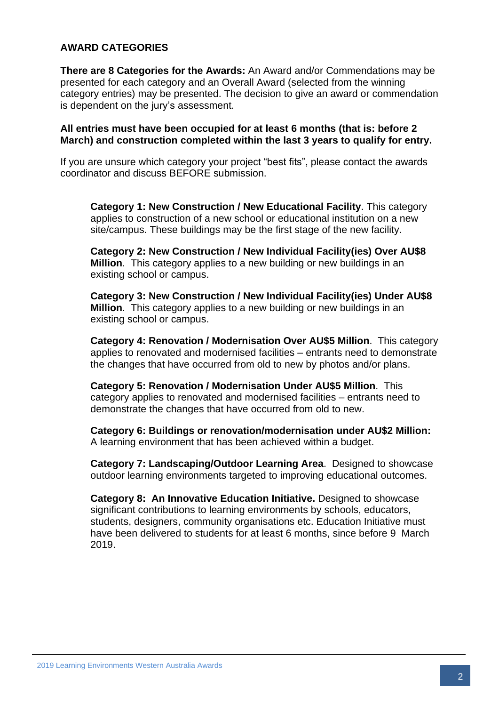#### **AWARD CATEGORIES**

**There are 8 Categories for the Awards:** An Award and/or Commendations may be presented for each category and an Overall Award (selected from the winning category entries) may be presented. The decision to give an award or commendation is dependent on the jury's assessment.

#### **All entries must have been occupied for at least 6 months (that is: before 2 March) and construction completed within the last 3 years to qualify for entry.**

If you are unsure which category your project "best fits", please contact the awards coordinator and discuss BEFORE submission.

**Category 1: New Construction / New Educational Facility**. This category applies to construction of a new school or educational institution on a new site/campus. These buildings may be the first stage of the new facility.

**Category 2: New Construction / New Individual Facility(ies) Over AU\$8 Million**. This category applies to a new building or new buildings in an existing school or campus.

**Category 3: New Construction / New Individual Facility(ies) Under AU\$8 Million**. This category applies to a new building or new buildings in an existing school or campus.

**Category 4: Renovation / Modernisation Over AU\$5 Million**. This category applies to renovated and modernised facilities – entrants need to demonstrate the changes that have occurred from old to new by photos and/or plans.

**Category 5: Renovation / Modernisation Under AU\$5 Million**. This category applies to renovated and modernised facilities – entrants need to demonstrate the changes that have occurred from old to new.

**Category 6: Buildings or renovation/modernisation under AU\$2 Million:** A learning environment that has been achieved within a budget.

**Category 7: Landscaping/Outdoor Learning Area**. Designed to showcase outdoor learning environments targeted to improving educational outcomes.

**Category 8: An Innovative Education Initiative.** Designed to showcase significant contributions to learning environments by schools, educators, students, designers, community organisations etc. Education Initiative must have been delivered to students for at least 6 months, since before 9 March 2019.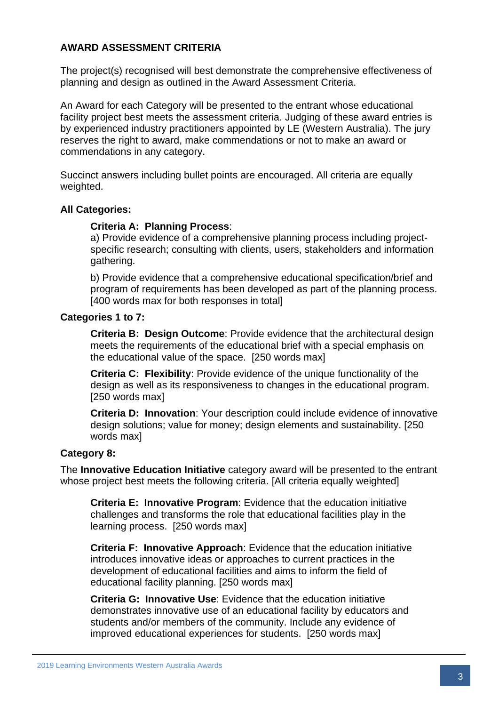## **AWARD ASSESSMENT CRITERIA**

The project(s) recognised will best demonstrate the comprehensive effectiveness of planning and design as outlined in the Award Assessment Criteria.

An Award for each Category will be presented to the entrant whose educational facility project best meets the assessment criteria. Judging of these award entries is by experienced industry practitioners appointed by LE (Western Australia). The jury reserves the right to award, make commendations or not to make an award or commendations in any category.

Succinct answers including bullet points are encouraged. All criteria are equally weighted.

#### **All Categories:**

#### **Criteria A: Planning Process**:

a) Provide evidence of a comprehensive planning process including projectspecific research; consulting with clients, users, stakeholders and information gathering.

b) Provide evidence that a comprehensive educational specification/brief and program of requirements has been developed as part of the planning process. [400 words max for both responses in total]

#### **Categories 1 to 7:**

**Criteria B: Design Outcome**: Provide evidence that the architectural design meets the requirements of the educational brief with a special emphasis on the educational value of the space. [250 words max]

**Criteria C: Flexibility**: Provide evidence of the unique functionality of the design as well as its responsiveness to changes in the educational program. [250 words max]

**Criteria D: Innovation**: Your description could include evidence of innovative design solutions; value for money; design elements and sustainability. [250 words maxl

#### **Category 8:**

The **Innovative Education Initiative** category award will be presented to the entrant whose project best meets the following criteria. [All criteria equally weighted]

**Criteria E: Innovative Program**: Evidence that the education initiative challenges and transforms the role that educational facilities play in the learning process. [250 words max]

**Criteria F: Innovative Approach**: Evidence that the education initiative introduces innovative ideas or approaches to current practices in the development of educational facilities and aims to inform the field of educational facility planning. [250 words max]

**Criteria G: Innovative Use**: Evidence that the education initiative demonstrates innovative use of an educational facility by educators and students and/or members of the community. Include any evidence of improved educational experiences for students. [250 words max]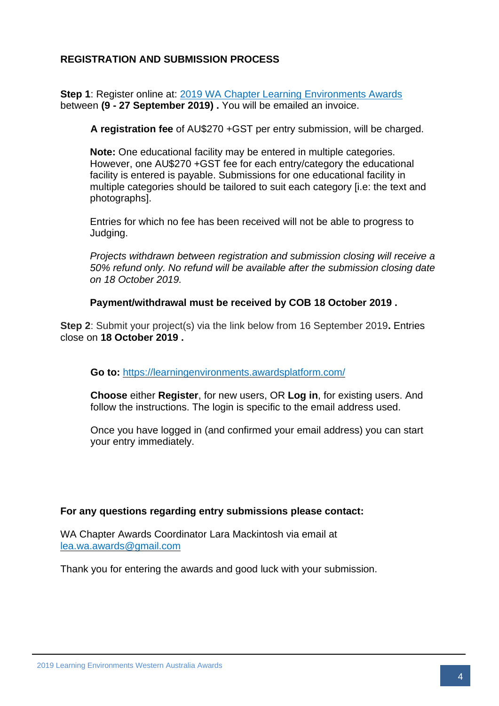## **REGISTRATION AND SUBMISSION PROCESS**

**Step 1:** Register online at: [2019 WA Chapter Learning Environments Awards](https://learningenvironments.wildapricot.org/event-3542058) between **(9 - 27 September 2019) .** You will be emailed an invoice.

**A registration fee** of AU\$270 +GST per entry submission, will be charged.

**Note:** One educational facility may be entered in multiple categories. However, one AU\$270 +GST fee for each entry/category the educational facility is entered is payable. Submissions for one educational facility in multiple categories should be tailored to suit each category [i.e: the text and photographs].

Entries for which no fee has been received will not be able to progress to Judging.

*Projects withdrawn between registration and submission closing will receive a 50% refund only. No refund will be available after the submission closing date on 18 October 2019.* 

**Payment/withdrawal must be received by COB 18 October 2019 .**

**Step 2**: Submit your project(s) via the link below from 16 September 2019**.** Entries close on **18 October 2019 .**

**Go to:** <https://learningenvironments.awardsplatform.com/>

**Choose** either **Register**, for new users, OR **Log in**, for existing users. And follow the instructions. The login is specific to the email address used.

Once you have logged in (and confirmed your email address) you can start your entry immediately.

#### **For any questions regarding entry submissions please contact:**

WA Chapter Awards Coordinator Lara Mackintosh via email at [lea.wa.awards@gmail.com](mailto:lea.wa.awards@gmail.com)

Thank you for entering the awards and good luck with your submission.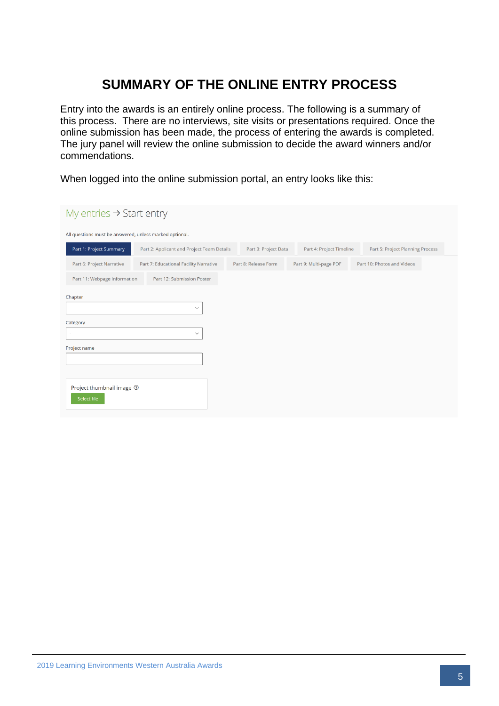# **SUMMARY OF THE ONLINE ENTRY PROCESS**

Entry into the awards is an entirely online process. The following is a summary of this process. There are no interviews, site visits or presentations required. Once the online submission has been made, the process of entering the awards is completed. The jury panel will review the online submission to decide the award winners and/or commendations.

When logged into the online submission portal, an entry looks like this:

| My entries $\rightarrow$ Start entry                    |                                            |                      |                          |                                  |  |
|---------------------------------------------------------|--------------------------------------------|----------------------|--------------------------|----------------------------------|--|
| All questions must be answered, unless marked optional. |                                            |                      |                          |                                  |  |
| Part 1: Project Summary                                 | Part 2: Applicant and Project Team Details | Part 3: Project Data | Part 4: Project Timeline | Part 5: Project Planning Process |  |
| Part 6: Project Narrative                               | Part 7: Educational Facility Narrative     | Part 8: Release Form | Part 9: Multi-page PDF   | Part 10: Photos and Videos       |  |
| Part 11: Webpage Information                            | Part 12: Submission Poster                 |                      |                          |                                  |  |
| Chapter<br>$\checkmark$                                 |                                            |                      |                          |                                  |  |
| Category                                                |                                            |                      |                          |                                  |  |
| $\checkmark$<br>$\sim$                                  |                                            |                      |                          |                                  |  |
| Project name                                            |                                            |                      |                          |                                  |  |
| Project thumbnail image $\circledcirc$<br>Select file   |                                            |                      |                          |                                  |  |